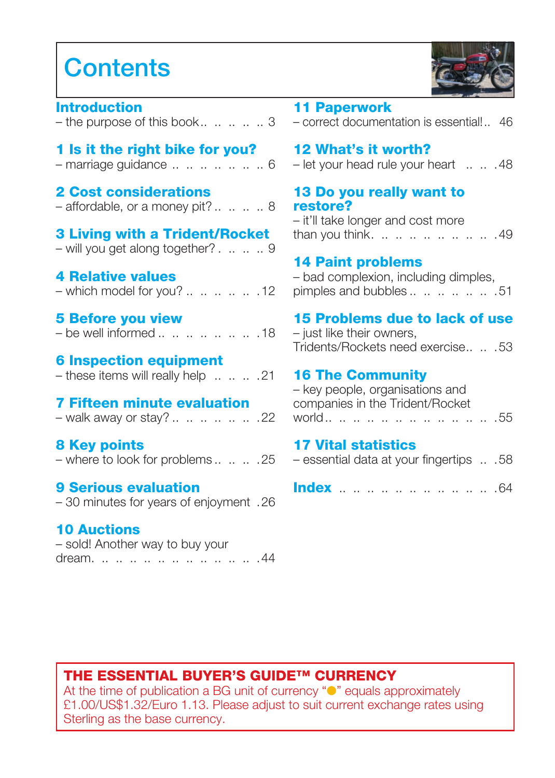## **Contents**



| <b>Introduction</b><br>- the purpose of this book3                             | 11 P<br>$-$ corr                          |
|--------------------------------------------------------------------------------|-------------------------------------------|
| 1 Is it the right bike for you?<br>- marriage guidance       6                 | 12 <sub>V</sub><br>$-$ let $\overline{ }$ |
| <b>2 Cost considerations</b><br>- affordable, or a money pit?8                 | <b>13D</b><br>rest<br>$-$ it'll :         |
| <b>3 Living with a Trident/Rocket</b><br>- will you get along together?.   . 9 | than '                                    |
| <b>4 Relative values</b><br>- which model for you?      12                     | 14 F<br>- bac<br>pimpl                    |
| <b>5 Before you view</b><br>- be well informed       . 18                      | <b>15 F</b><br>$-$ just<br>Trider         |
| <b>6 Inspection equipment</b><br>- these items will really help  21            | 16 <sub>1</sub><br>- key                  |
| <b>7 Fifteen minute evaluation</b><br>- walk away or stay?       22            | comp<br>world                             |
| <b>8 Key points</b><br>- where to look for problems25                          | <b>17 V</b><br>$-$ ess                    |
| <b>9 Serious evaluation</b><br>- 30 minutes for years of enjoyment .26         | Inde                                      |
| <b>10 Auctions</b>                                                             |                                           |

| - sold! Another way to buy your |  |  |  |  |  |  |
|---------------------------------|--|--|--|--|--|--|
| dream.           44             |  |  |  |  |  |  |

### Paperwork

– correct documentation is essential!.. 46

### What's it worth?

your head rule your heart ... . 48

### 13 Do you really want to ore?

| - it'll take longer and cost more |  |  |  |  |  |
|-----------------------------------|--|--|--|--|--|
| than you think.         49        |  |  |  |  |  |

### Paint problems

d complexion, including dimples, pimples and bubbles .. .. .. .. .. .. .51

## Problems due to lack of use

like their owners. nts/Rockets need exercise.. .. .53

### **The Community**

people, organisations and panies in the Trident/Rocket world.. .. .. .. .. .. .. .. .. .. .. .. .55

### **lital statistics**

| - essential data at your fingertips 58 |  |  |  |  |  |  |
|----------------------------------------|--|--|--|--|--|--|
| <b>Index</b> 64                        |  |  |  |  |  |  |

## THE ESSENTIAL BUYER'S GUIDE™ CURRENCY

At the time of publication a BG unit of currency " $\bullet$ " equals approximately £1.00/US\$1.32/Euro 1.13. Please adjust to suit current exchange rates using Sterling as the base currency.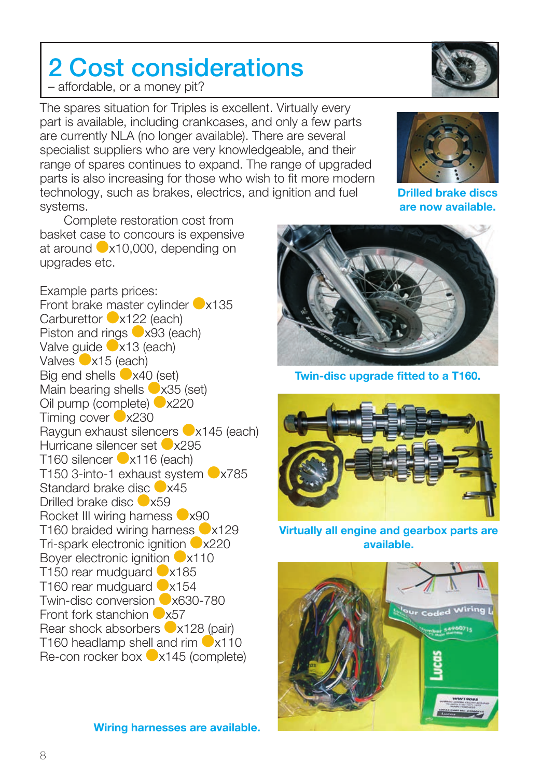# 2 Cost considerations

– affordable, or a money pit?

The spares situation for Triples is excellent. Virtually every part is available, including crankcases, and only a few parts are currently NLA (no longer available). There are several specialist suppliers who are very knowledgeable, and their range of spares continues to expand. The range of upgraded parts is also increasing for those who wish to fit more modern technology, such as brakes, electrics, and ignition and fuel systems.

Complete restoration cost from basket case to concours is expensive at around  $\bigcirc$  x10,000, depending on upgrades etc.

Example parts prices: Front brake master cylinder  $\bullet$  x135 Carburettor **C**x122 (each) Piston and rings  $\bigcirc$  x93 (each) Valve quide  $\bullet$  x13 (each) Valves  $\bullet$  x15 (each) Big end shells  $\bigcirc$  x40 (set) Main bearing shells  $\bigcirc$  x35 (set) Oil pump (complete)  $\bigcirc$  x220 Timing cover  $\bullet$  x230 Raygun exhaust silencers  $\bullet$  x145 (each) Hurricane silencer set x295 T160 silencer  $\bullet$  x116 (each) T150 3-into-1 exhaust system ●x785 Standard brake disc x45 Drilled brake disc x59 Rocket III wiring harness  $\bigcirc$ x90 T160 braided wiring harness  $\bigcirc$  x129 Tri-spark electronic ignition  $\bigcirc$  x220 Bover electronic ignition  $\sim$  x110 T150 rear mudguard  $\triangle$ x185 T160 rear mudguard  $\bullet$  x154 Twin-disc conversion **C**x630-780 Front fork stanchion  $\sim$  x57 Rear shock absorbers  $\bullet$  x128 (pair) T160 headlamp shell and rim  $\bigcirc$  x110 Re-con rocker box  $\bullet$  x145 (complete)

**Wiring harnesses are available.**



**Drilled brake discs are now available.**



**Twin-disc upgrade fitted to a T160.**



**Virtually all engine and gearbox parts are available.**



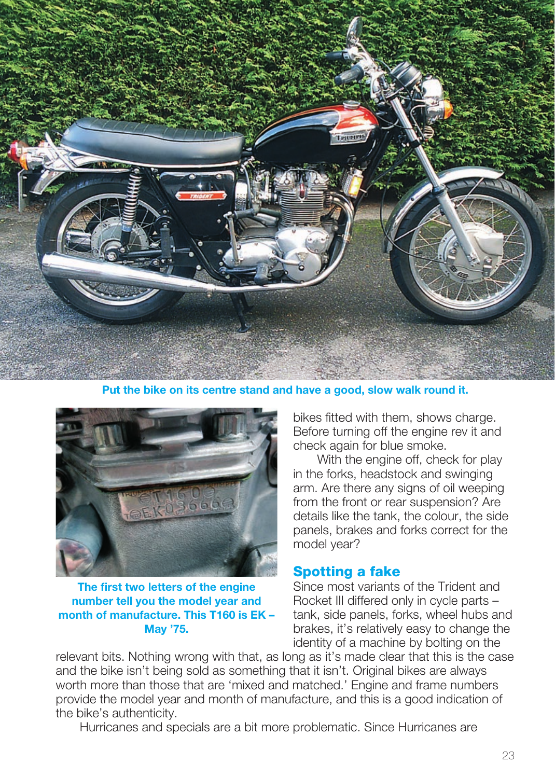

**Put the bike on its centre stand and have a good, slow walk round it.**



**The first two letters of the engine number tell you the model year and month of manufacture. This T160 is EK – May '75.**

bikes fitted with them, shows charge. Before turning off the engine rev it and check again for blue smoke.

With the engine off, check for play in the forks, headstock and swinging arm. Are there any signs of oil weeping from the front or rear suspension? Are details like the tank, the colour, the side panels, brakes and forks correct for the model year?

### Spotting a fake

Since most variants of the Trident and Rocket III differed only in cycle parts – tank, side panels, forks, wheel hubs and brakes, it's relatively easy to change the identity of a machine by bolting on the

relevant bits. Nothing wrong with that, as long as it's made clear that this is the case and the bike isn't being sold as something that it isn't. Original bikes are always worth more than those that are 'mixed and matched.' Engine and frame numbers provide the model year and month of manufacture, and this is a good indication of the bike's authenticity.

Hurricanes and specials are a bit more problematic. Since Hurricanes are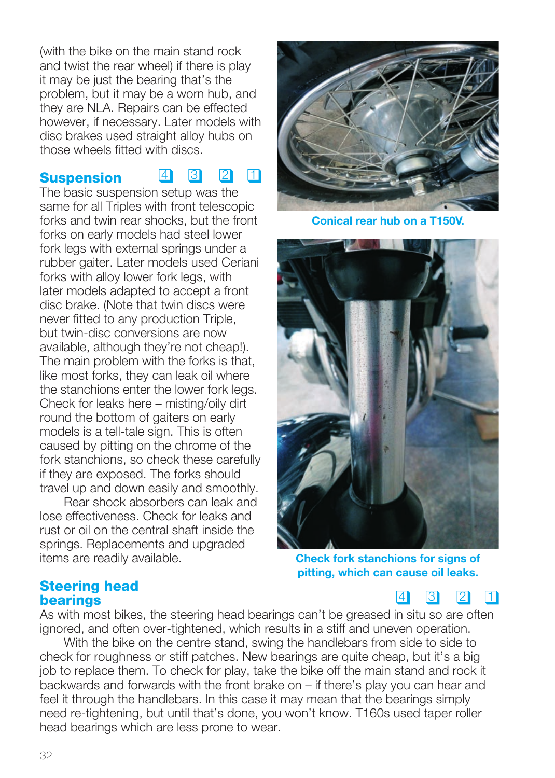(with the bike on the main stand rock and twist the rear wheel) if there is play it may be just the bearing that's the problem, but it may be a worn hub, and they are NLA. Repairs can be effected however, if necessary. Later models with disc brakes used straight alloy hubs on those wheels fitted with discs.

#### **Suspension** 4 3 2 1

The basic suspension setup was the same for all Triples with front telescopic forks and twin rear shocks, but the front forks on early models had steel lower fork legs with external springs under a rubber gaiter. Later models used Ceriani forks with alloy lower fork legs, with later models adapted to accept a front disc brake. (Note that twin discs were never fitted to any production Triple, but twin-disc conversions are now available, although they're not cheap!). The main problem with the forks is that, like most forks, they can leak oil where the stanchions enter the lower fork legs. Check for leaks here – misting/oily dirt round the bottom of gaiters on early models is a tell-tale sign. This is often caused by pitting on the chrome of the fork stanchions, so check these carefully if they are exposed. The forks should travel up and down easily and smoothly.

Rear shock absorbers can leak and lose effectiveness. Check for leaks and rust or oil on the central shaft inside the springs. Replacements and upgraded items are readily available.



**Conical rear hub on a T150V.**



**Check fork stanchions for signs of pitting, which can cause oil leaks.**

### Steering head bearings

**4 3 2 1** 

As with most bikes, the steering head bearings can't be greased in situ so are often ignored, and often over-tightened, which results in a stiff and uneven operation.

With the bike on the centre stand, swing the handlebars from side to side to check for roughness or stiff patches. New bearings are quite cheap, but it's a big job to replace them. To check for play, take the bike off the main stand and rock it backwards and forwards with the front brake on – if there's play you can hear and feel it through the handlebars. In this case it may mean that the bearings simply need re-tightening, but until that's done, you won't know. T160s used taper roller head bearings which are less prone to wear.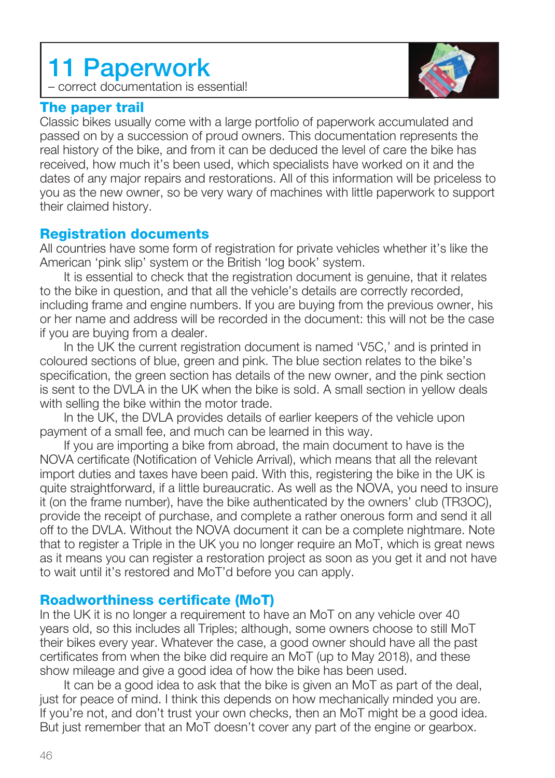## **Paperwork**

– correct documentation is essential!

### The paper trail

Classic bikes usually come with a large portfolio of paperwork accumulated and passed on by a succession of proud owners. This documentation represents the real history of the bike, and from it can be deduced the level of care the bike has received, how much it's been used, which specialists have worked on it and the dates of any major repairs and restorations. All of this information will be priceless to you as the new owner, so be very wary of machines with little paperwork to support their claimed history.

### Registration documents

All countries have some form of registration for private vehicles whether it's like the American 'pink slip' system or the British 'log book' system.

It is essential to check that the registration document is genuine, that it relates to the bike in question, and that all the vehicle's details are correctly recorded, including frame and engine numbers. If you are buying from the previous owner, his or her name and address will be recorded in the document: this will not be the case if you are buying from a dealer.

In the UK the current registration document is named 'V5C,' and is printed in coloured sections of blue, green and pink. The blue section relates to the bike's specification, the green section has details of the new owner, and the pink section is sent to the DVLA in the UK when the bike is sold. A small section in yellow deals with selling the bike within the motor trade.

In the UK, the DVLA provides details of earlier keepers of the vehicle upon payment of a small fee, and much can be learned in this way.

If you are importing a bike from abroad, the main document to have is the NOVA certificate (Notification of Vehicle Arrival), which means that all the relevant import duties and taxes have been paid. With this, registering the bike in the UK is quite straightforward, if a little bureaucratic. As well as the NOVA, you need to insure it (on the frame number), have the bike authenticated by the owners' club (TR3OC), provide the receipt of purchase, and complete a rather onerous form and send it all off to the DVLA. Without the NOVA document it can be a complete nightmare. Note that to register a Triple in the UK you no longer require an MoT, which is great news as it means you can register a restoration project as soon as you get it and not have to wait until it's restored and MoT'd before you can apply.

### Roadworthiness certificate (MoT)

In the UK it is no longer a requirement to have an MoT on any vehicle over 40 years old, so this includes all Triples; although, some owners choose to still MoT their bikes every year. Whatever the case, a good owner should have all the past certificates from when the bike did require an MoT (up to May 2018), and these show mileage and give a good idea of how the bike has been used.

It can be a good idea to ask that the bike is given an MoT as part of the deal, just for peace of mind. I think this depends on how mechanically minded you are. If you're not, and don't trust your own checks, then an MoT might be a good idea. But just remember that an MoT doesn't cover any part of the engine or gearbox.